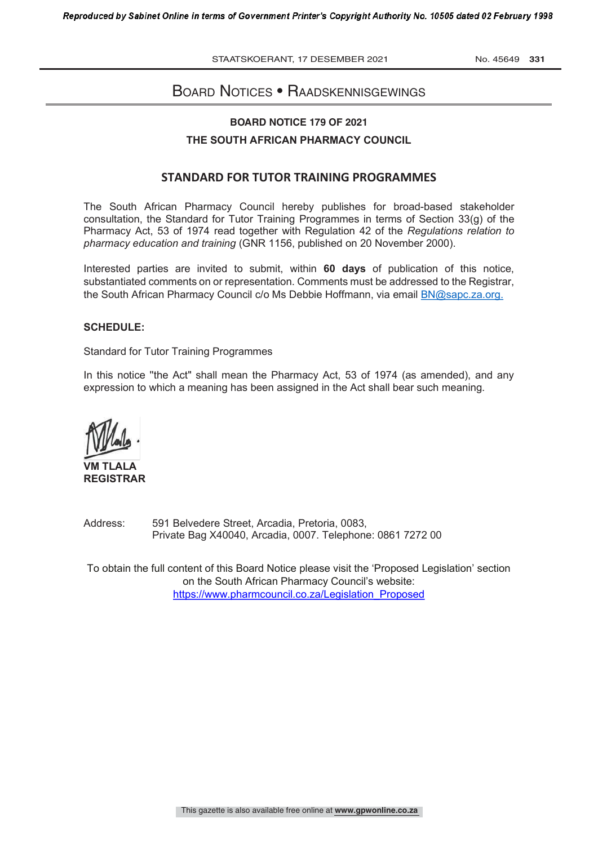STAATSKOERANT, 17 DESEMBER 2021 No. 45649 331

## BOARD NOTICES • RAADSKENNISGEWINGS

#### **BOARD NOTICE 179 OF 2021**

#### **THE SOUTH AFRICAN PHARMACY COUNCIL**

#### **STANDARD FOR TUTOR TRAINING PROGRAMMES**

The South African Pharmacy Council hereby publishes for broad-based stakeholder consultation, the Standard for Tutor Training Programmes in terms of Section 33(g) of the Pharmacy Act, 53 of 1974 read together with Regulation 42 of the *Regulations relation to pharmacy education and training* (GNR 1156, published on 20 November 2000).

Interested parties are invited to submit, within **60 days** of publication of this notice, substantiated comments on or representation. Comments must be addressed to the Registrar, the South African Pharmacy Council c/o Ms Debbie Hoffmann, via email BN@sapc.za.org.

#### **SCHEDULE:**

Standard for Tutor Training Programmes

In this notice ''the Act" shall mean the Pharmacy Act, 53 of 1974 (as amended), and any expression to which a meaning has been assigned in the Act shall bear such meaning.

**VM TLALA REGISTRAR**

Address: 591 Belvedere Street, Arcadia, Pretoria, 0083, Private Bag X40040, Arcadia, 0007. Telephone: 0861 7272 00

To obtain the full content of this Board Notice please visit the 'Proposed Legislation' section on the South African Pharmacy Council's website: https://www.pharmcouncil.co.za/Legislation\_Proposed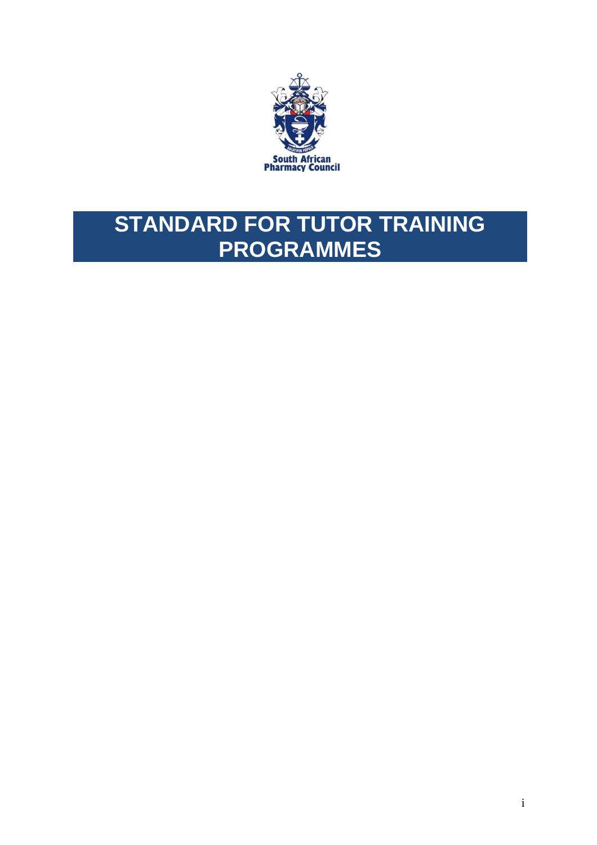

# **STANDARD FOR TUTOR TRAINING PROGRAMMES**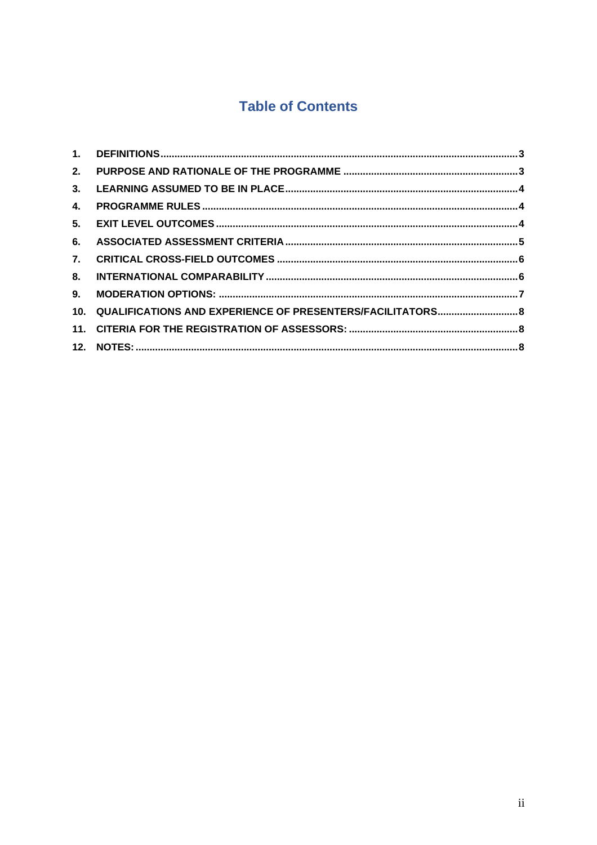# **Table of Contents**

| 2. |                                                                |  |
|----|----------------------------------------------------------------|--|
| 3. |                                                                |  |
| 4. |                                                                |  |
| 5. |                                                                |  |
| 6. |                                                                |  |
| 7. |                                                                |  |
| 8. |                                                                |  |
| 9. |                                                                |  |
|    | 10. QUALIFICATIONS AND EXPERIENCE OF PRESENTERS/FACILITATORS 8 |  |
|    |                                                                |  |
|    |                                                                |  |
|    |                                                                |  |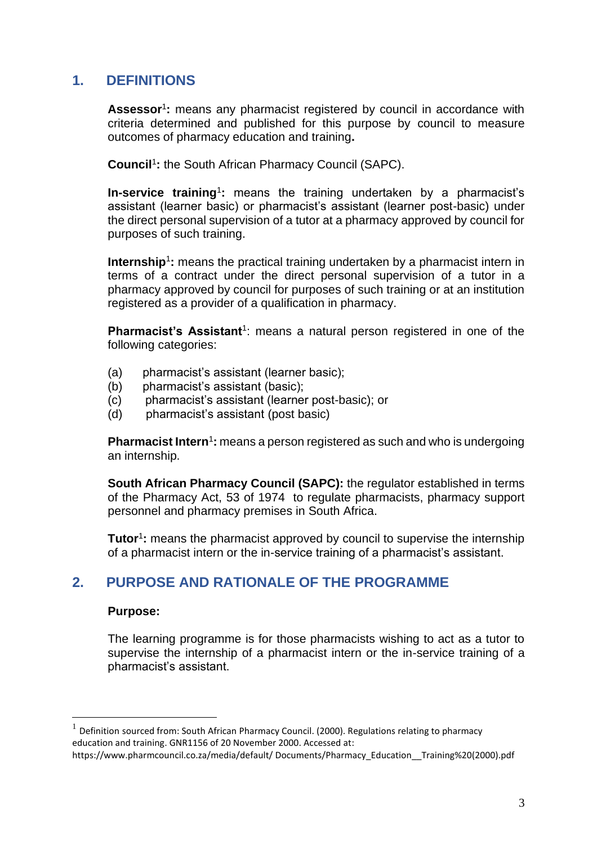# <span id="page-3-0"></span>**1. DEFINITIONS**

Assessor<sup>1</sup>: means any pharmacist registered by council in accordance with criteria determined and published for this purpose by council to measure outcomes of pharmacy education and training**.**

**Council**<sup>1</sup> **:** the South African Pharmacy Council (SAPC).

**In-service training**<sup>1</sup>: means the training undertaken by a pharmacist's assistant (learner basic) or pharmacist's assistant (learner post-basic) under the direct personal supervision of a tutor at a pharmacy approved by council for purposes of such training.

**Internship**<sup>1</sup>: means the practical training undertaken by a pharmacist intern in terms of a contract under the direct personal supervision of a tutor in a pharmacy approved by council for purposes of such training or at an institution registered as a provider of a qualification in pharmacy.

**Pharmacist's Assistant**<sup>1</sup>: means a natural person registered in one of the following categories:

- (a) pharmacist's assistant (learner basic);
- (b) pharmacist's assistant (basic);
- (c) pharmacist's assistant (learner post-basic); or
- (d) pharmacist's assistant (post basic)

**Pharmacist Intern<sup>1</sup>:** means a person registered as such and who is undergoing an internship.

**South African Pharmacy Council (SAPC):** the regulator established in terms of the Pharmacy Act, 53 of 1974 to regulate pharmacists, pharmacy support personnel and pharmacy premises in South Africa.

**Tutor**<sup>1</sup>: means the pharmacist approved by council to supervise the internship of a pharmacist intern or the in-service training of a pharmacist's assistant.

## <span id="page-3-1"></span>**2. PURPOSE AND RATIONALE OF THE PROGRAMME**

#### **Purpose:**

The learning programme is for those pharmacists wishing to act as a tutor to supervise the internship of a pharmacist intern or the in-service training of a pharmacist's assistant.

<sup>1</sup> Definition sourced from: South African Pharmacy Council. (2000). Regulations relating to pharmacy education and training. GNR1156 of 20 November 2000. Accessed at:

https://www.pharmcouncil.co.za/media/default/ Documents/Pharmacy\_Education\_\_Training%20(2000).pdf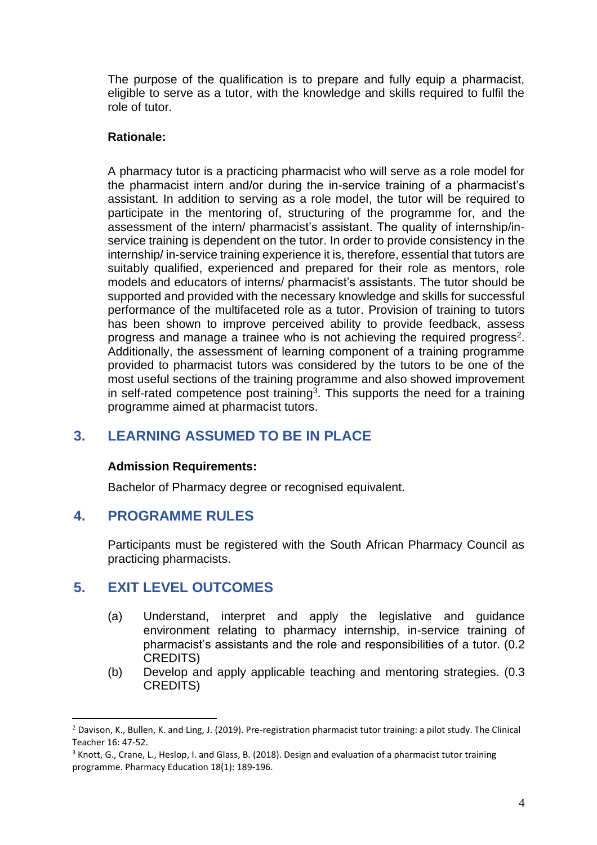The purpose of the qualification is to prepare and fully equip a pharmacist, eligible to serve as a tutor, with the knowledge and skills required to fulfil the role of tutor.

## **Rationale:**

A pharmacy tutor is a practicing pharmacist who will serve as a role model for the pharmacist intern and/or during the in-service training of a pharmacist's assistant. In addition to serving as a role model, the tutor will be required to participate in the mentoring of, structuring of the programme for, and the assessment of the intern/ pharmacist's assistant. The quality of internship/inservice training is dependent on the tutor. In order to provide consistency in the internship/ in-service training experience it is, therefore, essential that tutors are suitably qualified, experienced and prepared for their role as mentors, role models and educators of interns/ pharmacist's assistants. The tutor should be supported and provided with the necessary knowledge and skills for successful performance of the multifaceted role as a tutor. Provision of training to tutors has been shown to improve perceived ability to provide feedback, assess progress and manage a trainee who is not achieving the required progress<sup>2</sup>. Additionally, the assessment of learning component of a training programme provided to pharmacist tutors was considered by the tutors to be one of the most useful sections of the training programme and also showed improvement in self-rated competence post training<sup>3</sup>. This supports the need for a training programme aimed at pharmacist tutors.

# <span id="page-4-0"></span>**3. LEARNING ASSUMED TO BE IN PLACE**

#### **Admission Requirements:**

Bachelor of Pharmacy degree or recognised equivalent.

## <span id="page-4-1"></span>**4. PROGRAMME RULES**

Participants must be registered with the South African Pharmacy Council as practicing pharmacists.

# <span id="page-4-2"></span>**5. EXIT LEVEL OUTCOMES**

- (a) Understand, interpret and apply the legislative and guidance environment relating to pharmacy internship, in-service training of pharmacist's assistants and the role and responsibilities of a tutor. (0.2 CREDITS)
- (b) Develop and apply applicable teaching and mentoring strategies. (0.3 CREDITS)

<sup>&</sup>lt;sup>2</sup> Davison, K., Bullen, K. and Ling, J. (2019). Pre-registration pharmacist tutor training: a pilot study. The Clinical Teacher 16: 47-52.

<sup>&</sup>lt;sup>3</sup> Knott, G., Crane, L., Heslop, I. and Glass, B. (2018). Design and evaluation of a pharmacist tutor training programme. Pharmacy Education 18(1): 189-196.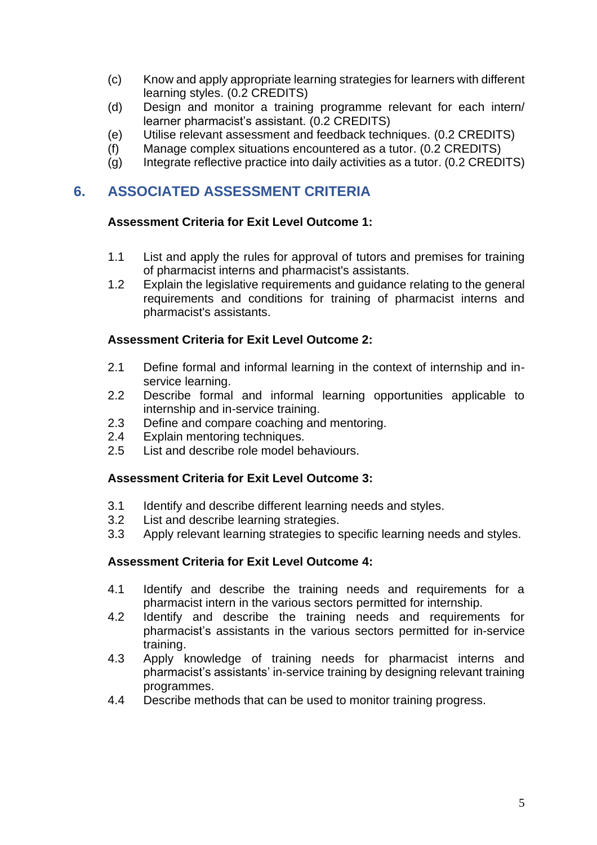- (c) Know and apply appropriate learning strategies for learners with different learning styles. (0.2 CREDITS)
- (d) Design and monitor a training programme relevant for each intern/ learner pharmacist's assistant. (0.2 CREDITS)
- (e) Utilise relevant assessment and feedback techniques. (0.2 CREDITS)
- (f) Manage complex situations encountered as a tutor. (0.2 CREDITS)
- (g) Integrate reflective practice into daily activities as a tutor. (0.2 CREDITS)

# <span id="page-5-0"></span>**6. ASSOCIATED ASSESSMENT CRITERIA**

#### **Assessment Criteria for Exit Level Outcome 1:**

- 1.1 List and apply the rules for approval of tutors and premises for training of pharmacist interns and pharmacist's assistants.
- 1.2 Explain the legislative requirements and guidance relating to the general requirements and conditions for training of pharmacist interns and pharmacist's assistants.

#### **Assessment Criteria for Exit Level Outcome 2:**

- 2.1 Define formal and informal learning in the context of internship and inservice learning.
- 2.2 Describe formal and informal learning opportunities applicable to internship and in-service training.
- 2.3 Define and compare coaching and mentoring.
- 2.4 Explain mentoring techniques.
- 2.5 List and describe role model behaviours.

## **Assessment Criteria for Exit Level Outcome 3:**

- 3.1 Identify and describe different learning needs and styles.
- 3.2 List and describe learning strategies.
- 3.3 Apply relevant learning strategies to specific learning needs and styles.

## **Assessment Criteria for Exit Level Outcome 4:**

- 4.1 Identify and describe the training needs and requirements for a pharmacist intern in the various sectors permitted for internship.
- 4.2 Identify and describe the training needs and requirements for pharmacist's assistants in the various sectors permitted for in-service training.
- 4.3 Apply knowledge of training needs for pharmacist interns and pharmacist's assistants' in-service training by designing relevant training programmes.
- 4.4 Describe methods that can be used to monitor training progress.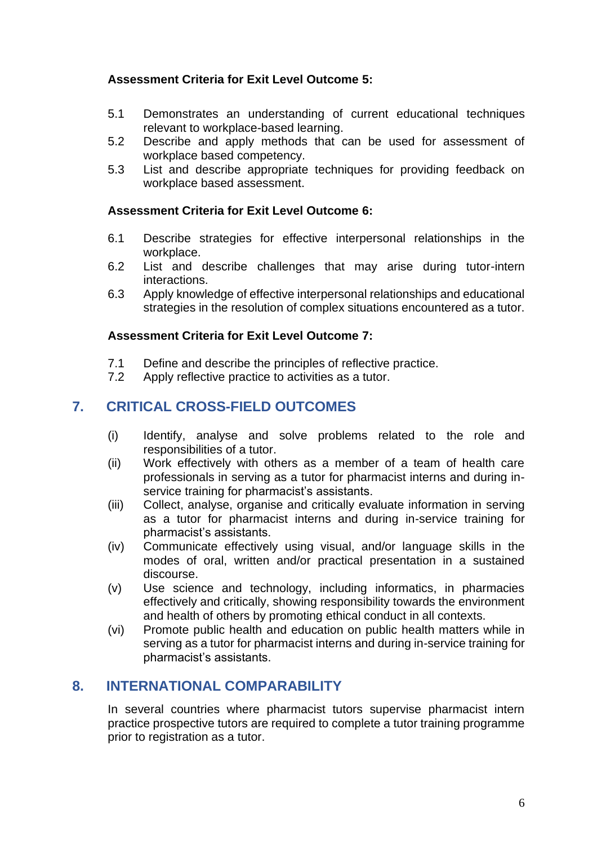## **Assessment Criteria for Exit Level Outcome 5:**

- 5.1 Demonstrates an understanding of current educational techniques relevant to workplace-based learning.
- 5.2 Describe and apply methods that can be used for assessment of workplace based competency.
- 5.3 List and describe appropriate techniques for providing feedback on workplace based assessment.

## **Assessment Criteria for Exit Level Outcome 6:**

- 6.1 Describe strategies for effective interpersonal relationships in the workplace.
- 6.2 List and describe challenges that may arise during tutor-intern interactions.
- 6.3 Apply knowledge of effective interpersonal relationships and educational strategies in the resolution of complex situations encountered as a tutor.

#### **Assessment Criteria for Exit Level Outcome 7:**

- 7.1 Define and describe the principles of reflective practice.
- 7.2 Apply reflective practice to activities as a tutor.

# <span id="page-6-0"></span>**7. CRITICAL CROSS-FIELD OUTCOMES**

- (i) Identify, analyse and solve problems related to the role and responsibilities of a tutor.
- (ii) Work effectively with others as a member of a team of health care professionals in serving as a tutor for pharmacist interns and during inservice training for pharmacist's assistants.
- (iii) Collect, analyse, organise and critically evaluate information in serving as a tutor for pharmacist interns and during in-service training for pharmacist's assistants.
- (iv) Communicate effectively using visual, and/or language skills in the modes of oral, written and/or practical presentation in a sustained discourse.
- (v) Use science and technology, including informatics, in pharmacies effectively and critically, showing responsibility towards the environment and health of others by promoting ethical conduct in all contexts.
- (vi) Promote public health and education on public health matters while in serving as a tutor for pharmacist interns and during in-service training for pharmacist's assistants.

# <span id="page-6-1"></span>**8. INTERNATIONAL COMPARABILITY**

In several countries where pharmacist tutors supervise pharmacist intern practice prospective tutors are required to complete a tutor training programme prior to registration as a tutor.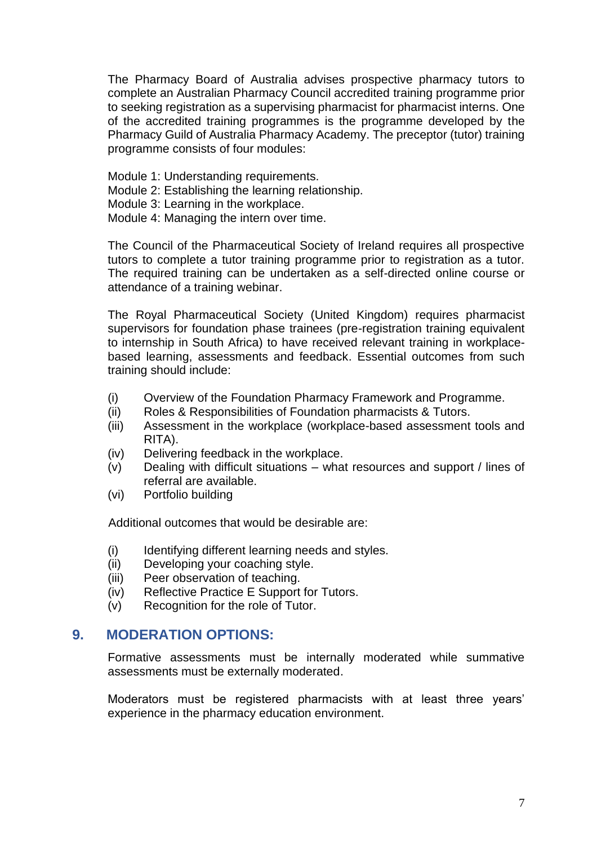The Pharmacy Board of Australia advises prospective pharmacy tutors to complete an Australian Pharmacy Council accredited training programme prior to seeking registration as a supervising pharmacist for pharmacist interns. One of the accredited training programmes is the programme developed by the Pharmacy Guild of Australia Pharmacy Academy. The preceptor (tutor) training programme consists of four modules:

- Module 1: Understanding requirements.
- Module 2: Establishing the learning relationship.
- Module 3: Learning in the workplace.
- Module 4: Managing the intern over time.

The Council of the Pharmaceutical Society of Ireland requires all prospective tutors to complete a tutor training programme prior to registration as a tutor. The required training can be undertaken as a self-directed online course or attendance of a training webinar.

The Royal Pharmaceutical Society (United Kingdom) requires pharmacist supervisors for foundation phase trainees (pre-registration training equivalent to internship in South Africa) to have received relevant training in workplacebased learning, assessments and feedback. Essential outcomes from such training should include:

- (i) Overview of the Foundation Pharmacy Framework and Programme.
- (ii) Roles & Responsibilities of Foundation pharmacists & Tutors.
- (iii) Assessment in the workplace (workplace-based assessment tools and RITA).
- (iv) Delivering feedback in the workplace.
- (v) Dealing with difficult situations what resources and support / lines of referral are available.
- (vi) Portfolio building

Additional outcomes that would be desirable are:

- (i) Identifying different learning needs and styles.
- (ii) Developing your coaching style.
- (iii) Peer observation of teaching.
- (iv) Reflective Practice E Support for Tutors.
- (v) Recognition for the role of Tutor.

#### <span id="page-7-0"></span>**9. MODERATION OPTIONS:**

Formative assessments must be internally moderated while summative assessments must be externally moderated.

Moderators must be registered pharmacists with at least three years' experience in the pharmacy education environment.